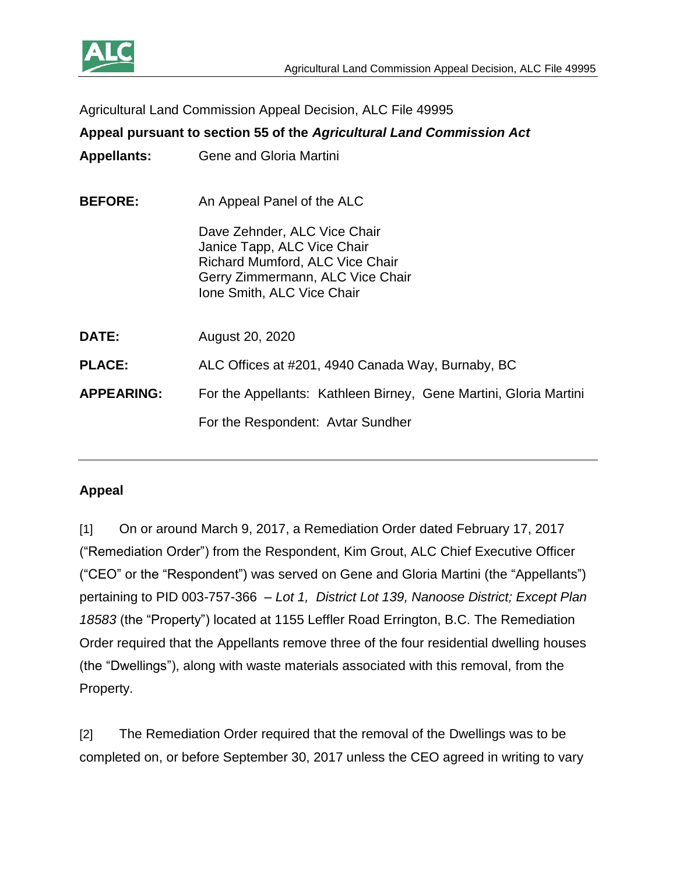

Agricultural Land Commission Appeal Decision, ALC File 49995

# **Appeal pursuant to section 55 of the** *Agricultural Land Commission Act*

- **Appellants:** Gene and Gloria Martini
- **BEFORE:** An Appeal Panel of the ALC

Dave Zehnder, ALC Vice Chair Janice Tapp, ALC Vice Chair Richard Mumford, ALC Vice Chair Gerry Zimmermann, ALC Vice Chair Ione Smith, ALC Vice Chair

**DATE:** August 20, 2020

**PLACE:** ALC Offices at #201, 4940 Canada Way, Burnaby, BC

**APPEARING:** For the Appellants: Kathleen Birney, Gene Martini, Gloria Martini

For the Respondent: Avtar Sundher

#### **Appeal**

[1] On or around March 9, 2017, a Remediation Order dated February 17, 2017 ("Remediation Order") from the Respondent, Kim Grout, ALC Chief Executive Officer ("CEO" or the "Respondent") was served on Gene and Gloria Martini (the "Appellants") pertaining to PID 003-757-366 – *Lot 1, District Lot 139, Nanoose District; Except Plan 18583* (the "Property") located at 1155 Leffler Road Errington, B.C. The Remediation Order required that the Appellants remove three of the four residential dwelling houses (the "Dwellings"), along with waste materials associated with this removal, from the Property.

[2] The Remediation Order required that the removal of the Dwellings was to be completed on, or before September 30, 2017 unless the CEO agreed in writing to vary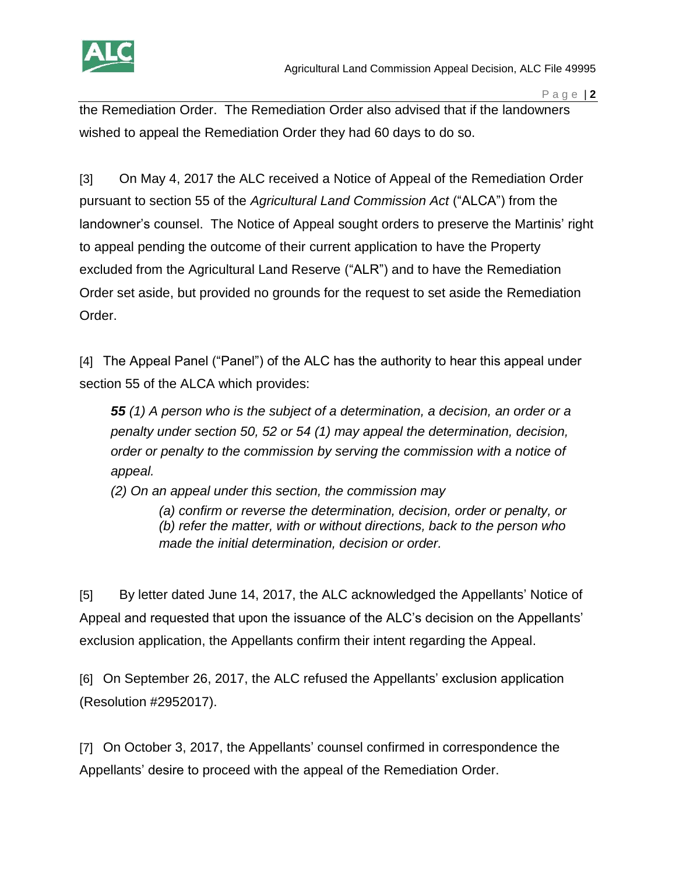

the Remediation Order. The Remediation Order also advised that if the landowners wished to appeal the Remediation Order they had 60 days to do so.

[3] On May 4, 2017 the ALC received a Notice of Appeal of the Remediation Order pursuant to section 55 of the *Agricultural Land Commission Act* ("ALCA") from the landowner's counsel. The Notice of Appeal sought orders to preserve the Martinis' right to appeal pending the outcome of their current application to have the Property excluded from the Agricultural Land Reserve ("ALR") and to have the Remediation Order set aside, but provided no grounds for the request to set aside the Remediation Order.

[4] The Appeal Panel ("Panel") of the ALC has the authority to hear this appeal under section 55 of the ALCA which provides:

*55 (1) A person who is the subject of a determination, a decision, an order or a penalty under section 50, 52 or 54 (1) may appeal the determination, decision, order or penalty to the commission by serving the commission with a notice of appeal.*

*(2) On an appeal under this section, the commission may*

*(a) confirm or reverse the determination, decision, order or penalty, or (b) refer the matter, with or without directions, back to the person who made the initial determination, decision or order.*

[5] By letter dated June 14, 2017, the ALC acknowledged the Appellants' Notice of Appeal and requested that upon the issuance of the ALC's decision on the Appellants' exclusion application, the Appellants confirm their intent regarding the Appeal.

[6] On September 26, 2017, the ALC refused the Appellants' exclusion application (Resolution #2952017).

[7] On October 3, 2017, the Appellants' counsel confirmed in correspondence the Appellants' desire to proceed with the appeal of the Remediation Order.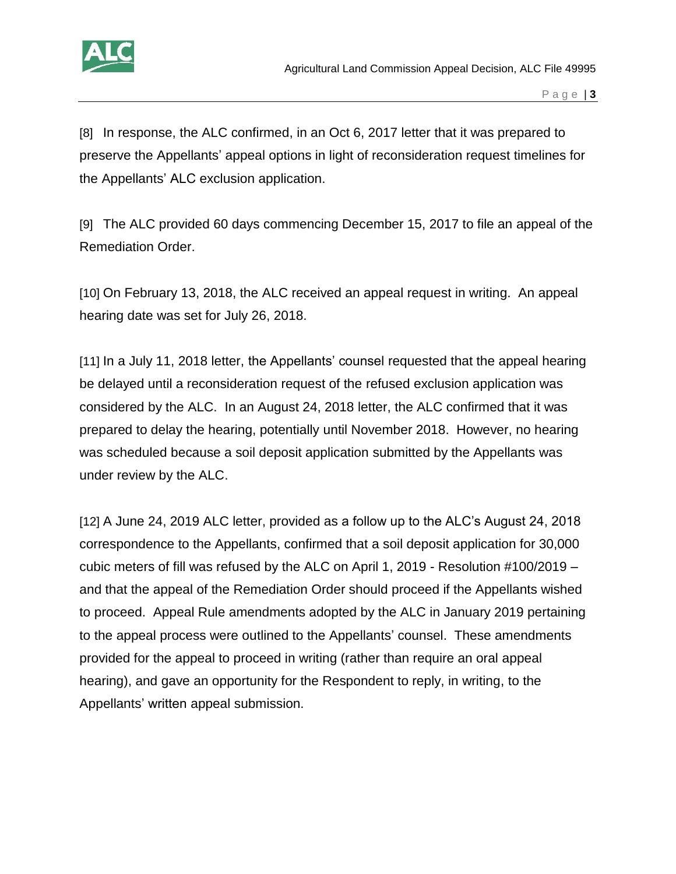

[8] In response, the ALC confirmed, in an Oct 6, 2017 letter that it was prepared to preserve the Appellants' appeal options in light of reconsideration request timelines for the Appellants' ALC exclusion application.

[9] The ALC provided 60 days commencing December 15, 2017 to file an appeal of the Remediation Order.

[10] On February 13, 2018, the ALC received an appeal request in writing. An appeal hearing date was set for July 26, 2018.

[11] In a July 11, 2018 letter, the Appellants' counsel requested that the appeal hearing be delayed until a reconsideration request of the refused exclusion application was considered by the ALC. In an August 24, 2018 letter, the ALC confirmed that it was prepared to delay the hearing, potentially until November 2018. However, no hearing was scheduled because a soil deposit application submitted by the Appellants was under review by the ALC.

[12] A June 24, 2019 ALC letter, provided as a follow up to the ALC's August 24, 2018 correspondence to the Appellants, confirmed that a soil deposit application for 30,000 cubic meters of fill was refused by the ALC on April 1, 2019 - Resolution #100/2019 – and that the appeal of the Remediation Order should proceed if the Appellants wished to proceed. Appeal Rule amendments adopted by the ALC in January 2019 pertaining to the appeal process were outlined to the Appellants' counsel. These amendments provided for the appeal to proceed in writing (rather than require an oral appeal hearing), and gave an opportunity for the Respondent to reply, in writing, to the Appellants' written appeal submission.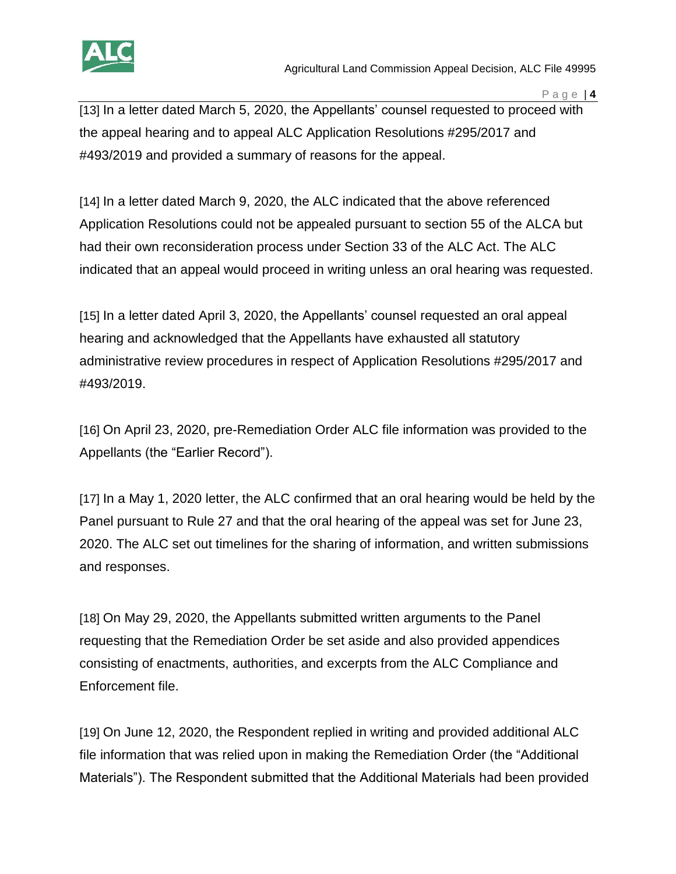

[13] In a letter dated March 5, 2020, the Appellants' counsel requested to proceed with the appeal hearing and to appeal ALC Application Resolutions #295/2017 and #493/2019 and provided a summary of reasons for the appeal.

[14] In a letter dated March 9, 2020, the ALC indicated that the above referenced Application Resolutions could not be appealed pursuant to section 55 of the ALCA but had their own reconsideration process under Section 33 of the ALC Act. The ALC indicated that an appeal would proceed in writing unless an oral hearing was requested.

[15] In a letter dated April 3, 2020, the Appellants' counsel requested an oral appeal hearing and acknowledged that the Appellants have exhausted all statutory administrative review procedures in respect of Application Resolutions #295/2017 and #493/2019.

[16] On April 23, 2020, pre-Remediation Order ALC file information was provided to the Appellants (the "Earlier Record").

[17] In a May 1, 2020 letter, the ALC confirmed that an oral hearing would be held by the Panel pursuant to Rule 27 and that the oral hearing of the appeal was set for June 23, 2020. The ALC set out timelines for the sharing of information, and written submissions and responses.

[18] On May 29, 2020, the Appellants submitted written arguments to the Panel requesting that the Remediation Order be set aside and also provided appendices consisting of enactments, authorities, and excerpts from the ALC Compliance and Enforcement file.

[19] On June 12, 2020, the Respondent replied in writing and provided additional ALC file information that was relied upon in making the Remediation Order (the "Additional Materials"). The Respondent submitted that the Additional Materials had been provided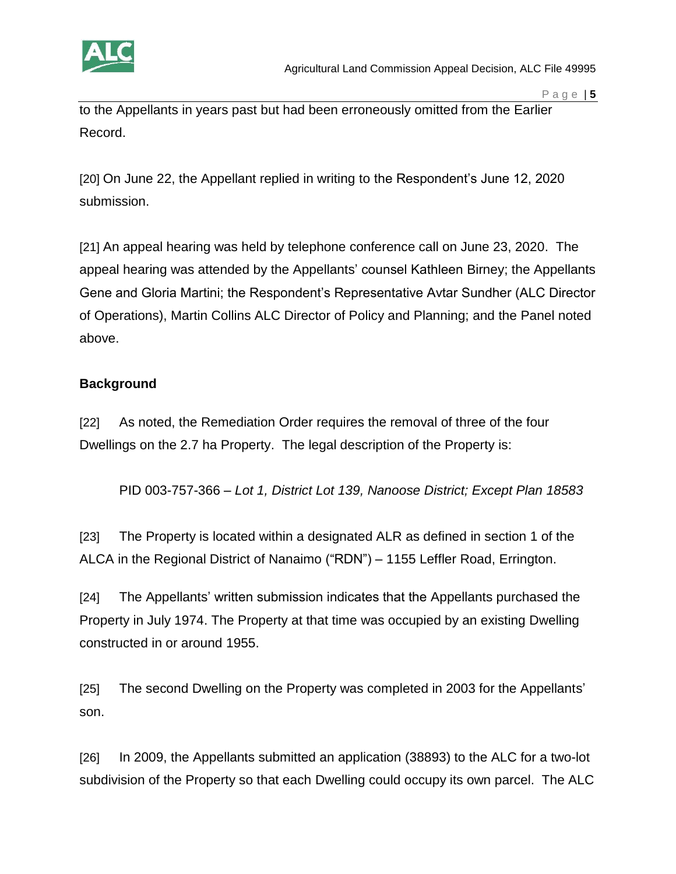

to the Appellants in years past but had been erroneously omitted from the Earlier Record.

[20] On June 22, the Appellant replied in writing to the Respondent's June 12, 2020 submission.

[21] An appeal hearing was held by telephone conference call on June 23, 2020. The appeal hearing was attended by the Appellants' counsel Kathleen Birney; the Appellants Gene and Gloria Martini; the Respondent's Representative Avtar Sundher (ALC Director of Operations), Martin Collins ALC Director of Policy and Planning; and the Panel noted above.

# **Background**

[22] As noted, the Remediation Order requires the removal of three of the four Dwellings on the 2.7 ha Property. The legal description of the Property is:

PID 003-757-366 – *Lot 1, District Lot 139, Nanoose District; Except Plan 18583*

[23] The Property is located within a designated ALR as defined in section 1 of the ALCA in the Regional District of Nanaimo ("RDN") – 1155 Leffler Road, Errington.

[24] The Appellants' written submission indicates that the Appellants purchased the Property in July 1974. The Property at that time was occupied by an existing Dwelling constructed in or around 1955.

[25] The second Dwelling on the Property was completed in 2003 for the Appellants' son.

[26] In 2009, the Appellants submitted an application (38893) to the ALC for a two-lot subdivision of the Property so that each Dwelling could occupy its own parcel. The ALC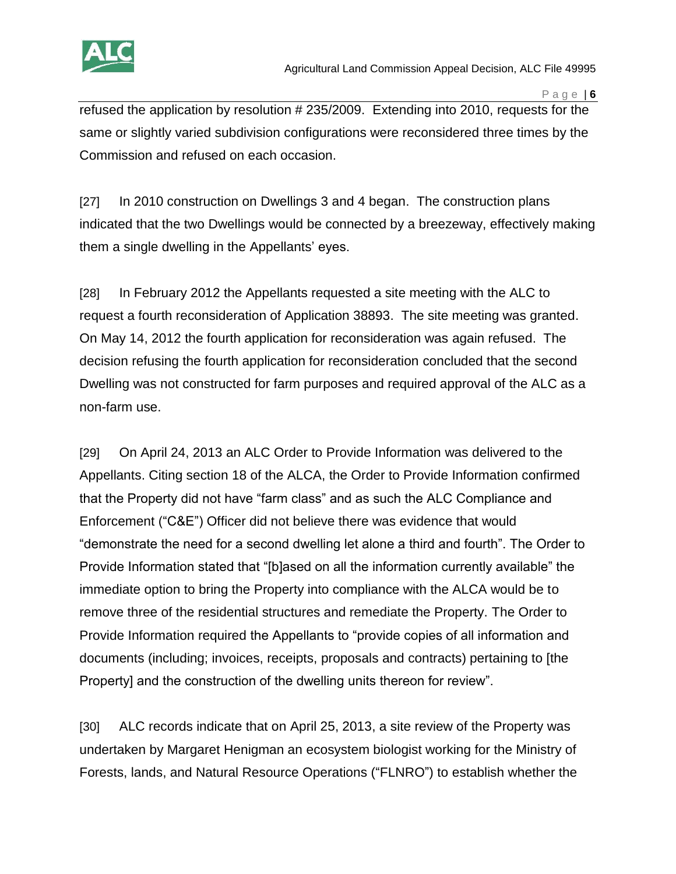

refused the application by resolution # 235/2009. Extending into 2010, requests for the same or slightly varied subdivision configurations were reconsidered three times by the Commission and refused on each occasion.

[27] In 2010 construction on Dwellings 3 and 4 began. The construction plans indicated that the two Dwellings would be connected by a breezeway, effectively making them a single dwelling in the Appellants' eyes.

[28] In February 2012 the Appellants requested a site meeting with the ALC to request a fourth reconsideration of Application 38893. The site meeting was granted. On May 14, 2012 the fourth application for reconsideration was again refused. The decision refusing the fourth application for reconsideration concluded that the second Dwelling was not constructed for farm purposes and required approval of the ALC as a non-farm use.

[29] On April 24, 2013 an ALC Order to Provide Information was delivered to the Appellants. Citing section 18 of the ALCA, the Order to Provide Information confirmed that the Property did not have "farm class" and as such the ALC Compliance and Enforcement ("C&E") Officer did not believe there was evidence that would "demonstrate the need for a second dwelling let alone a third and fourth". The Order to Provide Information stated that "[b]ased on all the information currently available" the immediate option to bring the Property into compliance with the ALCA would be to remove three of the residential structures and remediate the Property. The Order to Provide Information required the Appellants to "provide copies of all information and documents (including; invoices, receipts, proposals and contracts) pertaining to [the Property] and the construction of the dwelling units thereon for review".

[30] ALC records indicate that on April 25, 2013, a site review of the Property was undertaken by Margaret Henigman an ecosystem biologist working for the Ministry of Forests, lands, and Natural Resource Operations ("FLNRO") to establish whether the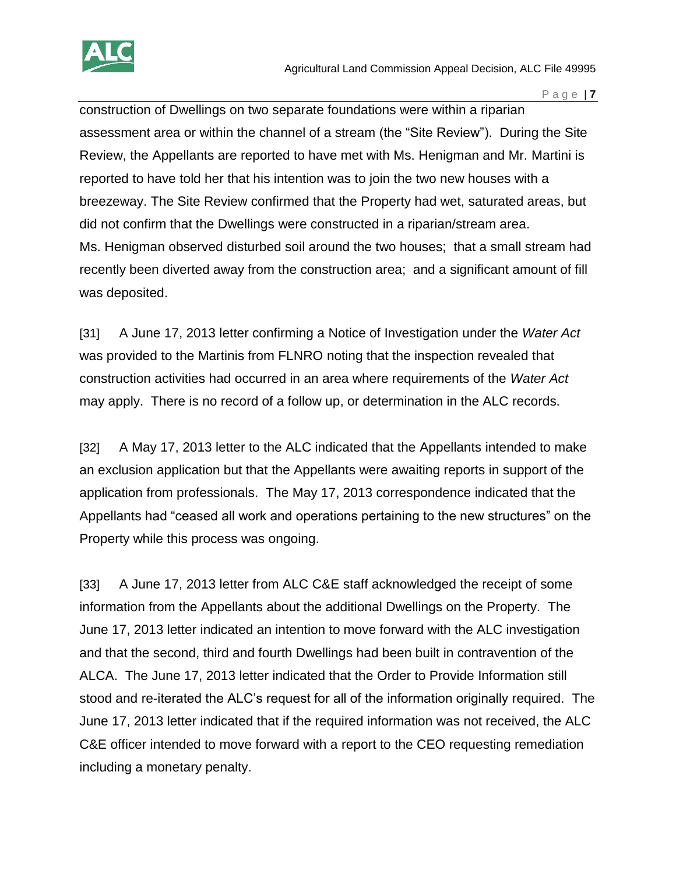

construction of Dwellings on two separate foundations were within a riparian assessment area or within the channel of a stream (the "Site Review"). During the Site Review, the Appellants are reported to have met with Ms. Henigman and Mr. Martini is reported to have told her that his intention was to join the two new houses with a breezeway. The Site Review confirmed that the Property had wet, saturated areas, but did not confirm that the Dwellings were constructed in a riparian/stream area. Ms. Henigman observed disturbed soil around the two houses; that a small stream had recently been diverted away from the construction area; and a significant amount of fill was deposited.

[31] A June 17, 2013 letter confirming a Notice of Investigation under the *Water Act* was provided to the Martinis from FLNRO noting that the inspection revealed that construction activities had occurred in an area where requirements of the *Water Act* may apply. There is no record of a follow up, or determination in the ALC records.

[32] A May 17, 2013 letter to the ALC indicated that the Appellants intended to make an exclusion application but that the Appellants were awaiting reports in support of the application from professionals. The May 17, 2013 correspondence indicated that the Appellants had "ceased all work and operations pertaining to the new structures" on the Property while this process was ongoing.

[33] A June 17, 2013 letter from ALC C&E staff acknowledged the receipt of some information from the Appellants about the additional Dwellings on the Property. The June 17, 2013 letter indicated an intention to move forward with the ALC investigation and that the second, third and fourth Dwellings had been built in contravention of the ALCA. The June 17, 2013 letter indicated that the Order to Provide Information still stood and re-iterated the ALC's request for all of the information originally required. The June 17, 2013 letter indicated that if the required information was not received, the ALC C&E officer intended to move forward with a report to the CEO requesting remediation including a monetary penalty.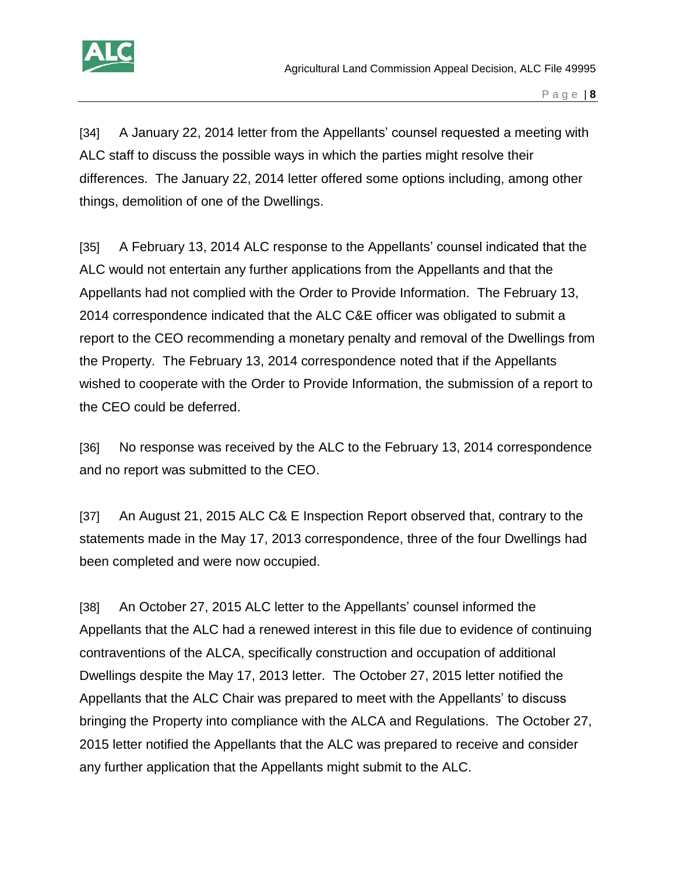

[34] A January 22, 2014 letter from the Appellants' counsel requested a meeting with ALC staff to discuss the possible ways in which the parties might resolve their differences. The January 22, 2014 letter offered some options including, among other things, demolition of one of the Dwellings.

[35] A February 13, 2014 ALC response to the Appellants' counsel indicated that the ALC would not entertain any further applications from the Appellants and that the Appellants had not complied with the Order to Provide Information. The February 13, 2014 correspondence indicated that the ALC C&E officer was obligated to submit a report to the CEO recommending a monetary penalty and removal of the Dwellings from the Property. The February 13, 2014 correspondence noted that if the Appellants wished to cooperate with the Order to Provide Information, the submission of a report to the CEO could be deferred.

[36] No response was received by the ALC to the February 13, 2014 correspondence and no report was submitted to the CEO.

[37] An August 21, 2015 ALC C& E Inspection Report observed that, contrary to the statements made in the May 17, 2013 correspondence, three of the four Dwellings had been completed and were now occupied.

[38] An October 27, 2015 ALC letter to the Appellants' counsel informed the Appellants that the ALC had a renewed interest in this file due to evidence of continuing contraventions of the ALCA, specifically construction and occupation of additional Dwellings despite the May 17, 2013 letter. The October 27, 2015 letter notified the Appellants that the ALC Chair was prepared to meet with the Appellants' to discuss bringing the Property into compliance with the ALCA and Regulations. The October 27, 2015 letter notified the Appellants that the ALC was prepared to receive and consider any further application that the Appellants might submit to the ALC.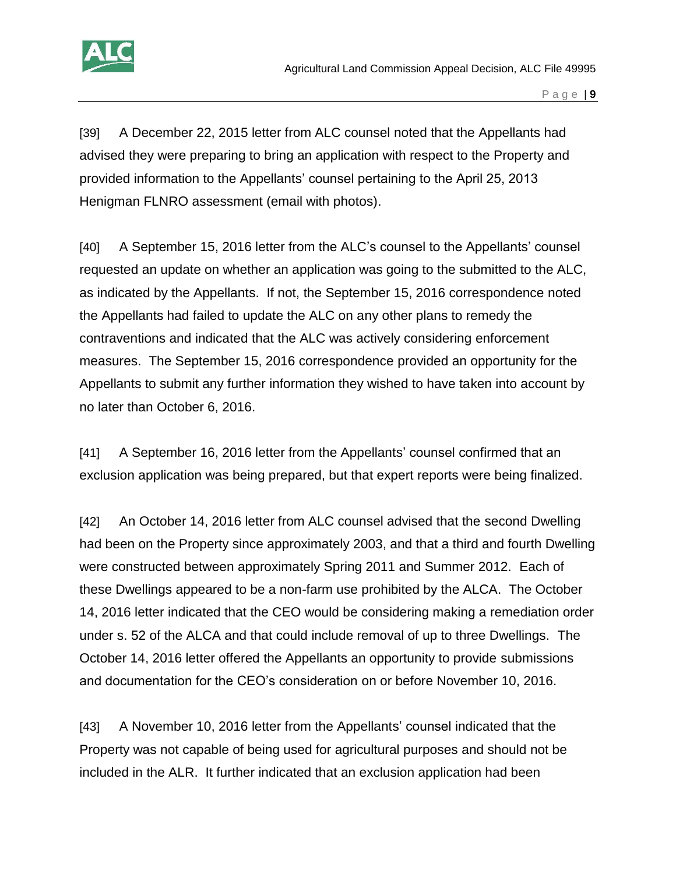

[39] A December 22, 2015 letter from ALC counsel noted that the Appellants had advised they were preparing to bring an application with respect to the Property and provided information to the Appellants' counsel pertaining to the April 25, 2013 Henigman FLNRO assessment (email with photos).

[40] A September 15, 2016 letter from the ALC's counsel to the Appellants' counsel requested an update on whether an application was going to the submitted to the ALC, as indicated by the Appellants. If not, the September 15, 2016 correspondence noted the Appellants had failed to update the ALC on any other plans to remedy the contraventions and indicated that the ALC was actively considering enforcement measures. The September 15, 2016 correspondence provided an opportunity for the Appellants to submit any further information they wished to have taken into account by no later than October 6, 2016.

[41] A September 16, 2016 letter from the Appellants' counsel confirmed that an exclusion application was being prepared, but that expert reports were being finalized.

[42] An October 14, 2016 letter from ALC counsel advised that the second Dwelling had been on the Property since approximately 2003, and that a third and fourth Dwelling were constructed between approximately Spring 2011 and Summer 2012. Each of these Dwellings appeared to be a non-farm use prohibited by the ALCA. The October 14, 2016 letter indicated that the CEO would be considering making a remediation order under s. 52 of the ALCA and that could include removal of up to three Dwellings. The October 14, 2016 letter offered the Appellants an opportunity to provide submissions and documentation for the CEO's consideration on or before November 10, 2016.

[43] A November 10, 2016 letter from the Appellants' counsel indicated that the Property was not capable of being used for agricultural purposes and should not be included in the ALR. It further indicated that an exclusion application had been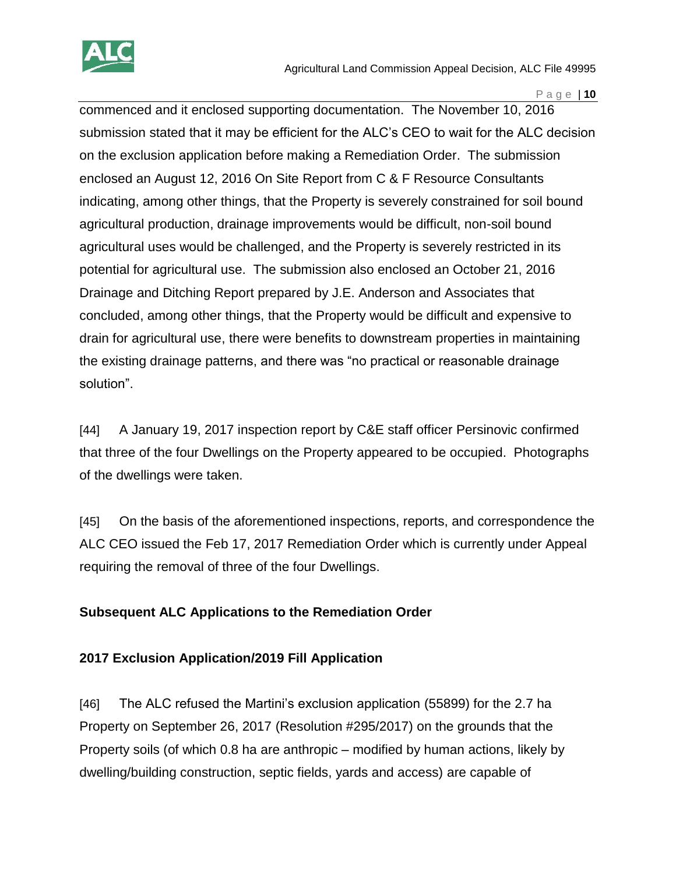

commenced and it enclosed supporting documentation. The November 10, 2016 submission stated that it may be efficient for the ALC's CEO to wait for the ALC decision on the exclusion application before making a Remediation Order. The submission enclosed an August 12, 2016 On Site Report from C & F Resource Consultants indicating, among other things, that the Property is severely constrained for soil bound agricultural production, drainage improvements would be difficult, non-soil bound agricultural uses would be challenged, and the Property is severely restricted in its potential for agricultural use. The submission also enclosed an October 21, 2016 Drainage and Ditching Report prepared by J.E. Anderson and Associates that concluded, among other things, that the Property would be difficult and expensive to drain for agricultural use, there were benefits to downstream properties in maintaining the existing drainage patterns, and there was "no practical or reasonable drainage solution".

[44] A January 19, 2017 inspection report by C&E staff officer Persinovic confirmed that three of the four Dwellings on the Property appeared to be occupied. Photographs of the dwellings were taken.

[45] On the basis of the aforementioned inspections, reports, and correspondence the ALC CEO issued the Feb 17, 2017 Remediation Order which is currently under Appeal requiring the removal of three of the four Dwellings.

# **Subsequent ALC Applications to the Remediation Order**

# **2017 Exclusion Application/2019 Fill Application**

[46] The ALC refused the Martini's exclusion application (55899) for the 2.7 ha Property on September 26, 2017 (Resolution #295/2017) on the grounds that the Property soils (of which 0.8 ha are anthropic – modified by human actions, likely by dwelling/building construction, septic fields, yards and access) are capable of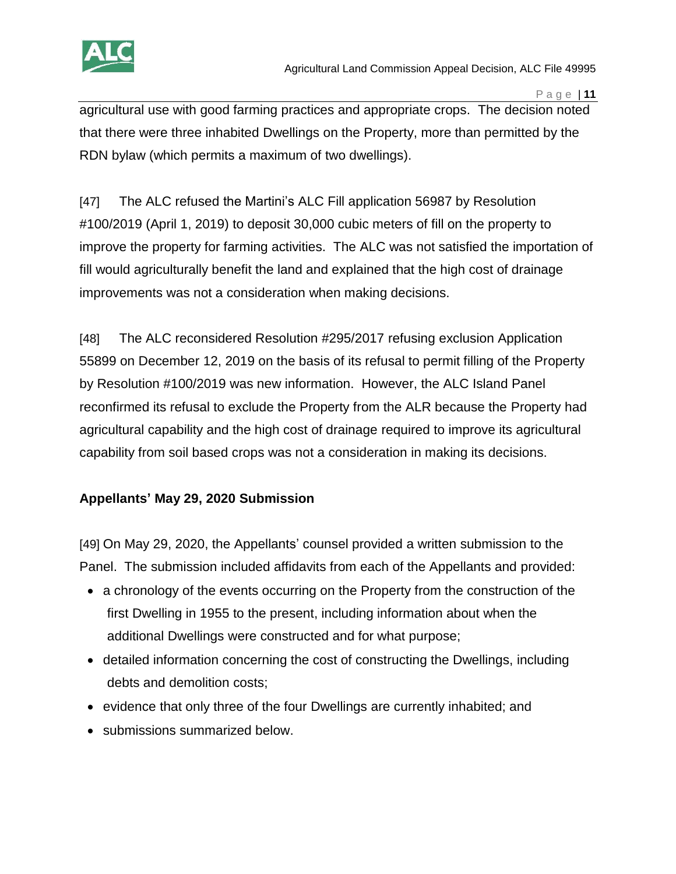

agricultural use with good farming practices and appropriate crops. The decision noted that there were three inhabited Dwellings on the Property, more than permitted by the RDN bylaw (which permits a maximum of two dwellings).

[47] The ALC refused the Martini's ALC Fill application 56987 by Resolution #100/2019 (April 1, 2019) to deposit 30,000 cubic meters of fill on the property to improve the property for farming activities. The ALC was not satisfied the importation of fill would agriculturally benefit the land and explained that the high cost of drainage improvements was not a consideration when making decisions.

[48] The ALC reconsidered Resolution #295/2017 refusing exclusion Application 55899 on December 12, 2019 on the basis of its refusal to permit filling of the Property by Resolution #100/2019 was new information. However, the ALC Island Panel reconfirmed its refusal to exclude the Property from the ALR because the Property had agricultural capability and the high cost of drainage required to improve its agricultural capability from soil based crops was not a consideration in making its decisions.

# **Appellants' May 29, 2020 Submission**

[49] On May 29, 2020, the Appellants' counsel provided a written submission to the Panel. The submission included affidavits from each of the Appellants and provided:

- a chronology of the events occurring on the Property from the construction of the first Dwelling in 1955 to the present, including information about when the additional Dwellings were constructed and for what purpose;
- detailed information concerning the cost of constructing the Dwellings, including debts and demolition costs;
- evidence that only three of the four Dwellings are currently inhabited; and
- submissions summarized below.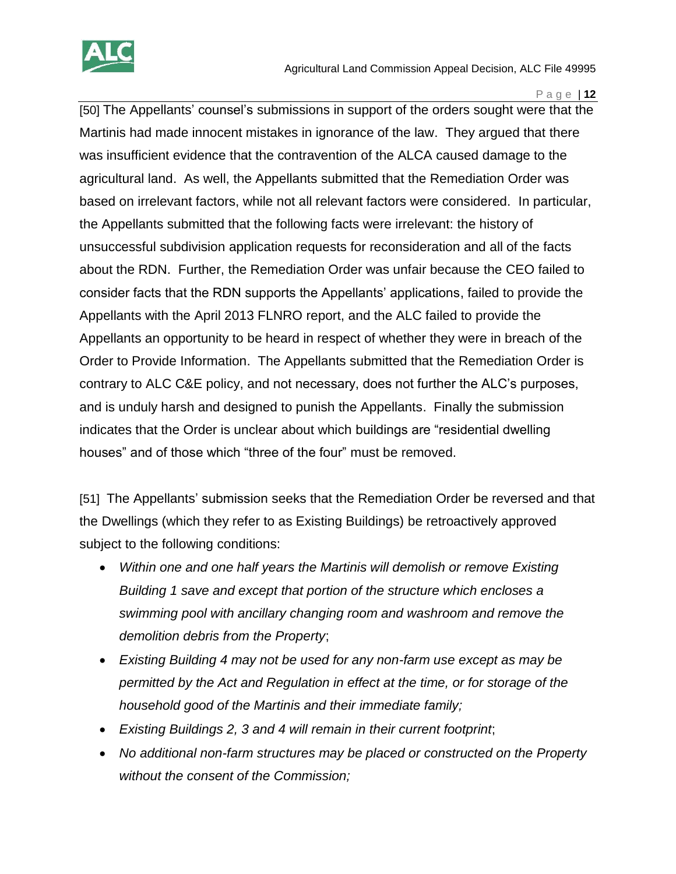

[50] The Appellants' counsel's submissions in support of the orders sought were that the Martinis had made innocent mistakes in ignorance of the law. They argued that there was insufficient evidence that the contravention of the ALCA caused damage to the agricultural land. As well, the Appellants submitted that the Remediation Order was based on irrelevant factors, while not all relevant factors were considered. In particular, the Appellants submitted that the following facts were irrelevant: the history of unsuccessful subdivision application requests for reconsideration and all of the facts about the RDN. Further, the Remediation Order was unfair because the CEO failed to consider facts that the RDN supports the Appellants' applications, failed to provide the Appellants with the April 2013 FLNRO report, and the ALC failed to provide the Appellants an opportunity to be heard in respect of whether they were in breach of the Order to Provide Information. The Appellants submitted that the Remediation Order is contrary to ALC C&E policy, and not necessary, does not further the ALC's purposes, and is unduly harsh and designed to punish the Appellants. Finally the submission indicates that the Order is unclear about which buildings are "residential dwelling houses" and of those which "three of the four" must be removed.

[51] The Appellants' submission seeks that the Remediation Order be reversed and that the Dwellings (which they refer to as Existing Buildings) be retroactively approved subject to the following conditions:

- *Within one and one half years the Martinis will demolish or remove Existing Building 1 save and except that portion of the structure which encloses a swimming pool with ancillary changing room and washroom and remove the demolition debris from the Property*;
- *Existing Building 4 may not be used for any non-farm use except as may be permitted by the Act and Regulation in effect at the time, or for storage of the household good of the Martinis and their immediate family;*
- *Existing Buildings 2, 3 and 4 will remain in their current footprint*;
- *No additional non-farm structures may be placed or constructed on the Property without the consent of the Commission;*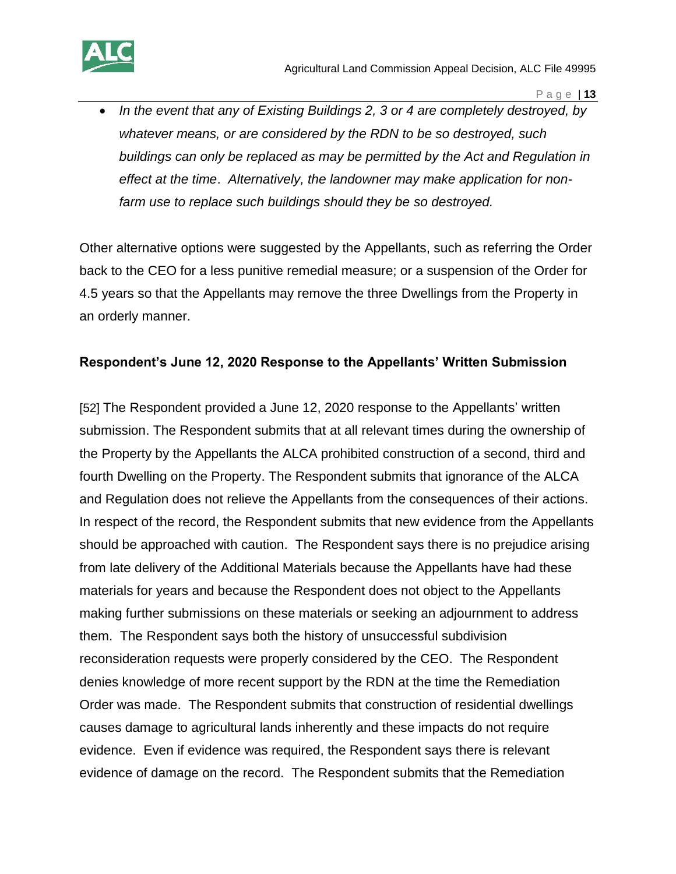

 *In the event that any of Existing Buildings 2, 3 or 4 are completely destroyed, by whatever means, or are considered by the RDN to be so destroyed, such buildings can only be replaced as may be permitted by the Act and Regulation in effect at the time*. *Alternatively, the landowner may make application for nonfarm use to replace such buildings should they be so destroyed.* 

Other alternative options were suggested by the Appellants, such as referring the Order back to the CEO for a less punitive remedial measure; or a suspension of the Order for 4.5 years so that the Appellants may remove the three Dwellings from the Property in an orderly manner.

#### **Respondent's June 12, 2020 Response to the Appellants' Written Submission**

[52] The Respondent provided a June 12, 2020 response to the Appellants' written submission. The Respondent submits that at all relevant times during the ownership of the Property by the Appellants the ALCA prohibited construction of a second, third and fourth Dwelling on the Property. The Respondent submits that ignorance of the ALCA and Regulation does not relieve the Appellants from the consequences of their actions. In respect of the record, the Respondent submits that new evidence from the Appellants should be approached with caution. The Respondent says there is no prejudice arising from late delivery of the Additional Materials because the Appellants have had these materials for years and because the Respondent does not object to the Appellants making further submissions on these materials or seeking an adjournment to address them. The Respondent says both the history of unsuccessful subdivision reconsideration requests were properly considered by the CEO. The Respondent denies knowledge of more recent support by the RDN at the time the Remediation Order was made. The Respondent submits that construction of residential dwellings causes damage to agricultural lands inherently and these impacts do not require evidence. Even if evidence was required, the Respondent says there is relevant evidence of damage on the record. The Respondent submits that the Remediation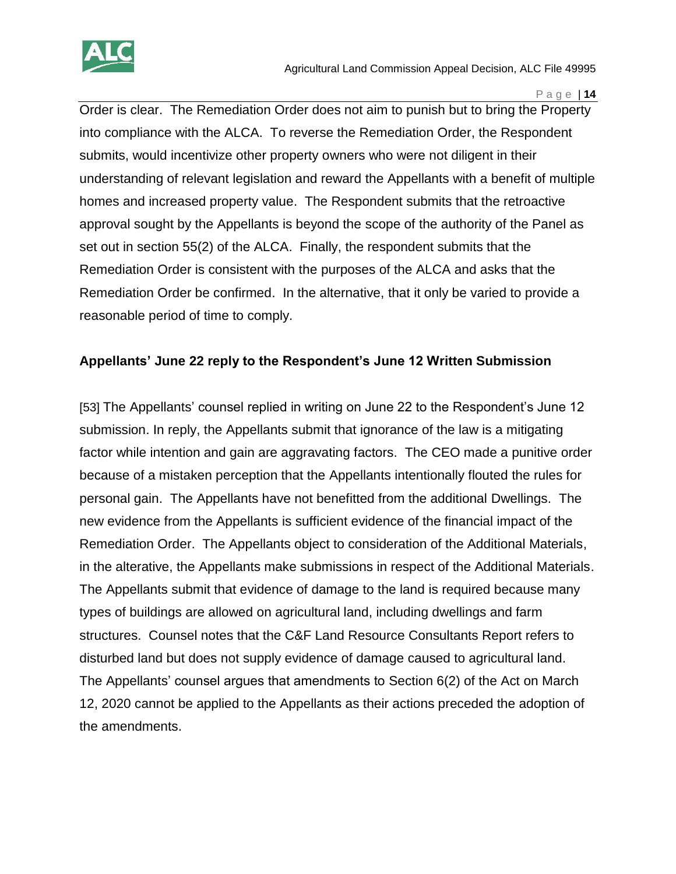

Order is clear. The Remediation Order does not aim to punish but to bring the Property into compliance with the ALCA. To reverse the Remediation Order, the Respondent submits, would incentivize other property owners who were not diligent in their understanding of relevant legislation and reward the Appellants with a benefit of multiple homes and increased property value. The Respondent submits that the retroactive approval sought by the Appellants is beyond the scope of the authority of the Panel as set out in section 55(2) of the ALCA. Finally, the respondent submits that the Remediation Order is consistent with the purposes of the ALCA and asks that the Remediation Order be confirmed. In the alternative, that it only be varied to provide a reasonable period of time to comply.

#### **Appellants' June 22 reply to the Respondent's June 12 Written Submission**

[53] The Appellants' counsel replied in writing on June 22 to the Respondent's June 12 submission. In reply, the Appellants submit that ignorance of the law is a mitigating factor while intention and gain are aggravating factors. The CEO made a punitive order because of a mistaken perception that the Appellants intentionally flouted the rules for personal gain. The Appellants have not benefitted from the additional Dwellings. The new evidence from the Appellants is sufficient evidence of the financial impact of the Remediation Order. The Appellants object to consideration of the Additional Materials, in the alterative, the Appellants make submissions in respect of the Additional Materials. The Appellants submit that evidence of damage to the land is required because many types of buildings are allowed on agricultural land, including dwellings and farm structures. Counsel notes that the C&F Land Resource Consultants Report refers to disturbed land but does not supply evidence of damage caused to agricultural land. The Appellants' counsel argues that amendments to Section 6(2) of the Act on March 12, 2020 cannot be applied to the Appellants as their actions preceded the adoption of the amendments.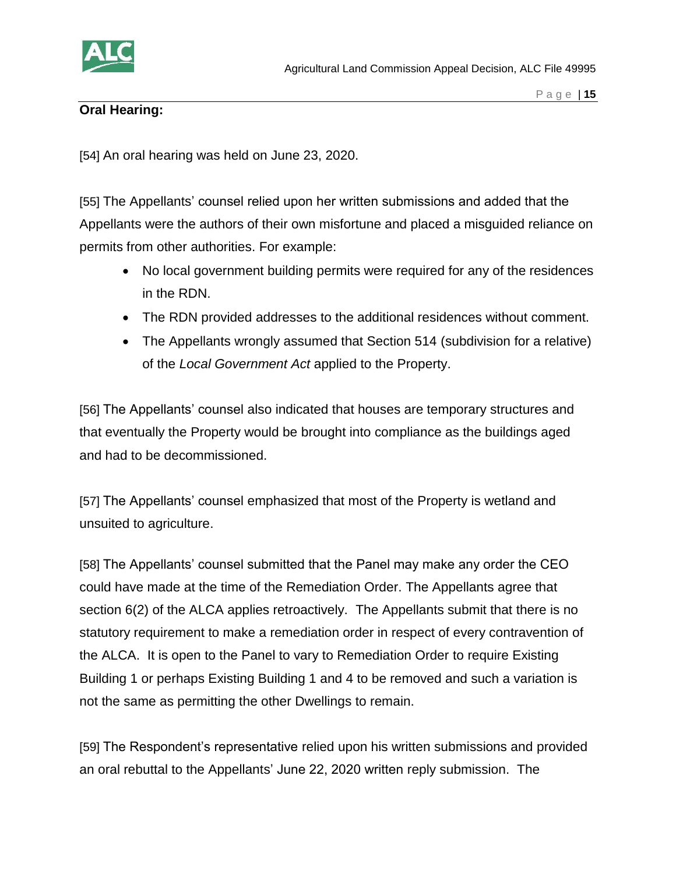

# **Oral Hearing:**

[54] An oral hearing was held on June 23, 2020.

[55] The Appellants' counsel relied upon her written submissions and added that the Appellants were the authors of their own misfortune and placed a misguided reliance on permits from other authorities. For example:

- No local government building permits were required for any of the residences in the RDN.
- The RDN provided addresses to the additional residences without comment.
- The Appellants wrongly assumed that Section 514 (subdivision for a relative) of the *Local Government Act* applied to the Property.

[56] The Appellants' counsel also indicated that houses are temporary structures and that eventually the Property would be brought into compliance as the buildings aged and had to be decommissioned.

[57] The Appellants' counsel emphasized that most of the Property is wetland and unsuited to agriculture.

[58] The Appellants' counsel submitted that the Panel may make any order the CEO could have made at the time of the Remediation Order. The Appellants agree that section 6(2) of the ALCA applies retroactively. The Appellants submit that there is no statutory requirement to make a remediation order in respect of every contravention of the ALCA. It is open to the Panel to vary to Remediation Order to require Existing Building 1 or perhaps Existing Building 1 and 4 to be removed and such a variation is not the same as permitting the other Dwellings to remain.

[59] The Respondent's representative relied upon his written submissions and provided an oral rebuttal to the Appellants' June 22, 2020 written reply submission. The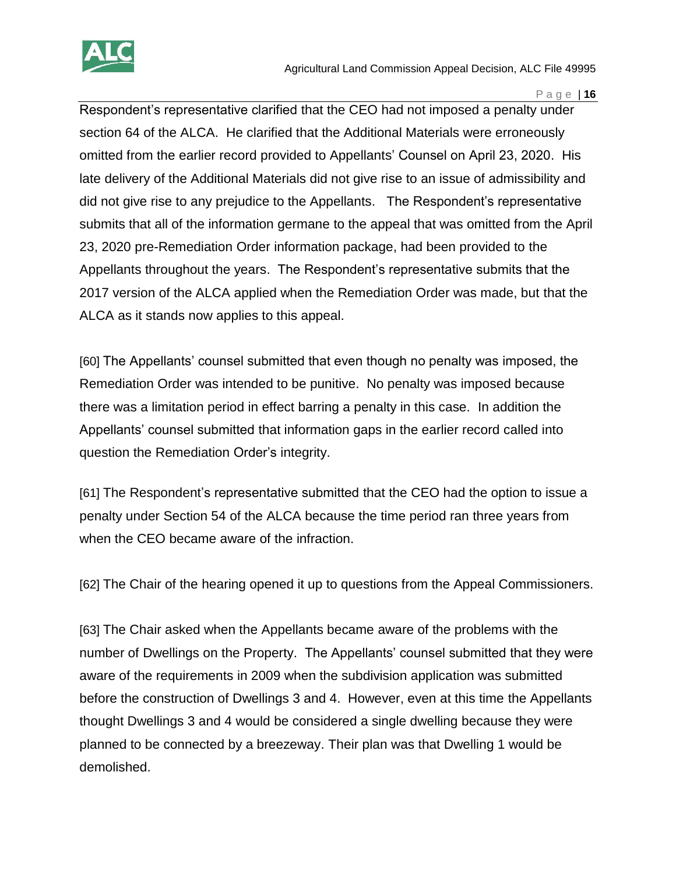

Respondent's representative clarified that the CEO had not imposed a penalty under section 64 of the ALCA. He clarified that the Additional Materials were erroneously omitted from the earlier record provided to Appellants' Counsel on April 23, 2020. His late delivery of the Additional Materials did not give rise to an issue of admissibility and did not give rise to any prejudice to the Appellants. The Respondent's representative submits that all of the information germane to the appeal that was omitted from the April 23, 2020 pre-Remediation Order information package, had been provided to the Appellants throughout the years. The Respondent's representative submits that the 2017 version of the ALCA applied when the Remediation Order was made, but that the ALCA as it stands now applies to this appeal.

[60] The Appellants' counsel submitted that even though no penalty was imposed, the Remediation Order was intended to be punitive. No penalty was imposed because there was a limitation period in effect barring a penalty in this case. In addition the Appellants' counsel submitted that information gaps in the earlier record called into question the Remediation Order's integrity.

[61] The Respondent's representative submitted that the CEO had the option to issue a penalty under Section 54 of the ALCA because the time period ran three years from when the CEO became aware of the infraction.

[62] The Chair of the hearing opened it up to questions from the Appeal Commissioners.

[63] The Chair asked when the Appellants became aware of the problems with the number of Dwellings on the Property. The Appellants' counsel submitted that they were aware of the requirements in 2009 when the subdivision application was submitted before the construction of Dwellings 3 and 4. However, even at this time the Appellants thought Dwellings 3 and 4 would be considered a single dwelling because they were planned to be connected by a breezeway. Their plan was that Dwelling 1 would be demolished.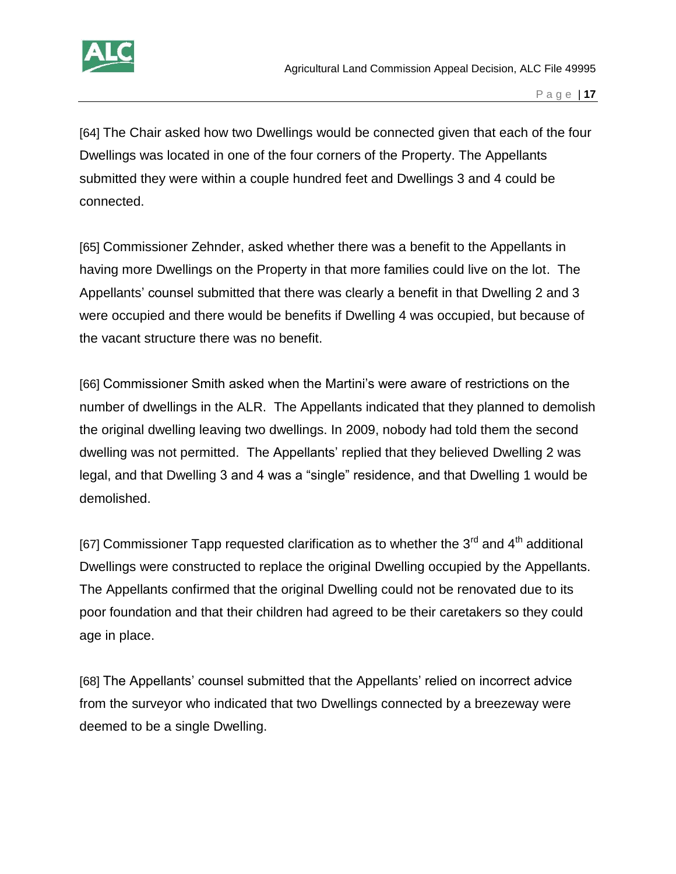

[64] The Chair asked how two Dwellings would be connected given that each of the four Dwellings was located in one of the four corners of the Property. The Appellants submitted they were within a couple hundred feet and Dwellings 3 and 4 could be connected.

[65] Commissioner Zehnder, asked whether there was a benefit to the Appellants in having more Dwellings on the Property in that more families could live on the lot. The Appellants' counsel submitted that there was clearly a benefit in that Dwelling 2 and 3 were occupied and there would be benefits if Dwelling 4 was occupied, but because of the vacant structure there was no benefit.

[66] Commissioner Smith asked when the Martini's were aware of restrictions on the number of dwellings in the ALR. The Appellants indicated that they planned to demolish the original dwelling leaving two dwellings. In 2009, nobody had told them the second dwelling was not permitted. The Appellants' replied that they believed Dwelling 2 was legal, and that Dwelling 3 and 4 was a "single" residence, and that Dwelling 1 would be demolished.

[67] Commissioner Tapp requested clarification as to whether the  $3<sup>rd</sup>$  and  $4<sup>th</sup>$  additional Dwellings were constructed to replace the original Dwelling occupied by the Appellants. The Appellants confirmed that the original Dwelling could not be renovated due to its poor foundation and that their children had agreed to be their caretakers so they could age in place.

[68] The Appellants' counsel submitted that the Appellants' relied on incorrect advice from the surveyor who indicated that two Dwellings connected by a breezeway were deemed to be a single Dwelling.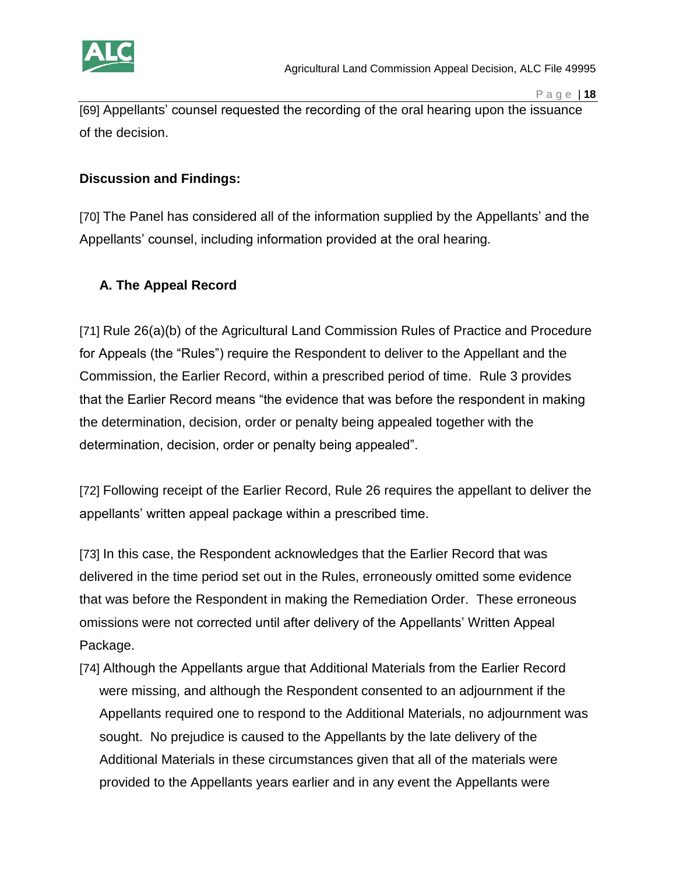

[69] Appellants' counsel requested the recording of the oral hearing upon the issuance of the decision.

#### **Discussion and Findings:**

[70] The Panel has considered all of the information supplied by the Appellants' and the Appellants' counsel, including information provided at the oral hearing.

# **A. The Appeal Record**

[71] Rule 26(a)(b) of the Agricultural Land Commission Rules of Practice and Procedure for Appeals (the "Rules") require the Respondent to deliver to the Appellant and the Commission, the Earlier Record, within a prescribed period of time. Rule 3 provides that the Earlier Record means "the evidence that was before the respondent in making the determination, decision, order or penalty being appealed together with the determination, decision, order or penalty being appealed".

[72] Following receipt of the Earlier Record, Rule 26 requires the appellant to deliver the appellants' written appeal package within a prescribed time.

[73] In this case, the Respondent acknowledges that the Earlier Record that was delivered in the time period set out in the Rules, erroneously omitted some evidence that was before the Respondent in making the Remediation Order. These erroneous omissions were not corrected until after delivery of the Appellants' Written Appeal Package.

[74] Although the Appellants argue that Additional Materials from the Earlier Record were missing, and although the Respondent consented to an adjournment if the Appellants required one to respond to the Additional Materials, no adjournment was sought. No prejudice is caused to the Appellants by the late delivery of the Additional Materials in these circumstances given that all of the materials were provided to the Appellants years earlier and in any event the Appellants were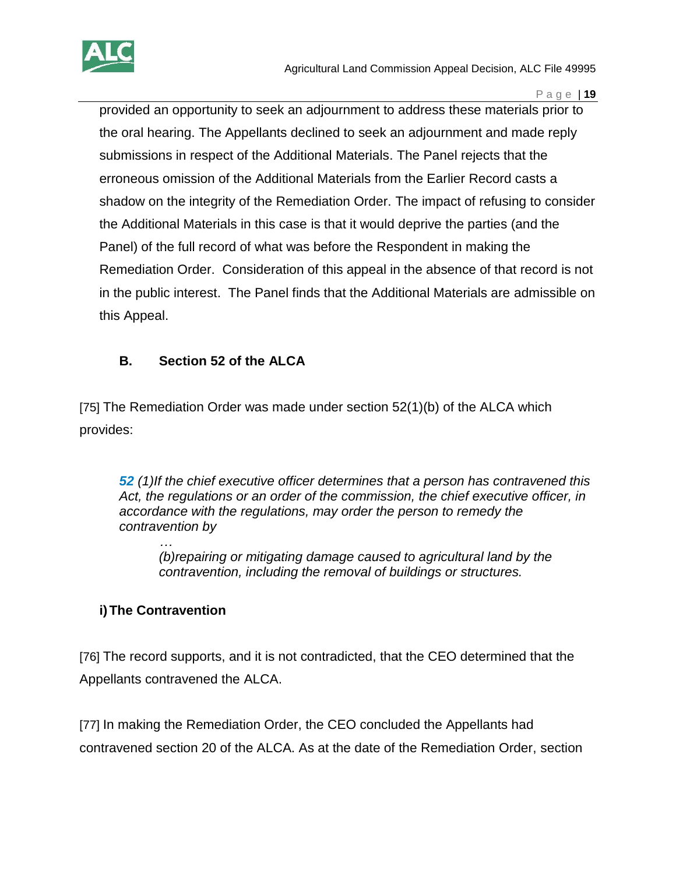

provided an opportunity to seek an adjournment to address these materials prior to the oral hearing. The Appellants declined to seek an adjournment and made reply submissions in respect of the Additional Materials. The Panel rejects that the erroneous omission of the Additional Materials from the Earlier Record casts a shadow on the integrity of the Remediation Order. The impact of refusing to consider the Additional Materials in this case is that it would deprive the parties (and the Panel) of the full record of what was before the Respondent in making the Remediation Order. Consideration of this appeal in the absence of that record is not in the public interest. The Panel finds that the Additional Materials are admissible on this Appeal.

# **B. Section 52 of the ALCA**

[75] The Remediation Order was made under section 52(1)(b) of the ALCA which provides:

*52 (1)If the chief executive officer determines that a person has contravened this Act, the regulations or an order of the commission, the chief executive officer, in accordance with the regulations, may order the person to remedy the contravention by* 

*… (b)repairing or mitigating damage caused to agricultural land by the contravention, including the removal of buildings or structures.*

# **i)The Contravention**

[76] The record supports, and it is not contradicted, that the CEO determined that the Appellants contravened the ALCA.

[77] In making the Remediation Order, the CEO concluded the Appellants had contravened section 20 of the ALCA. As at the date of the Remediation Order, section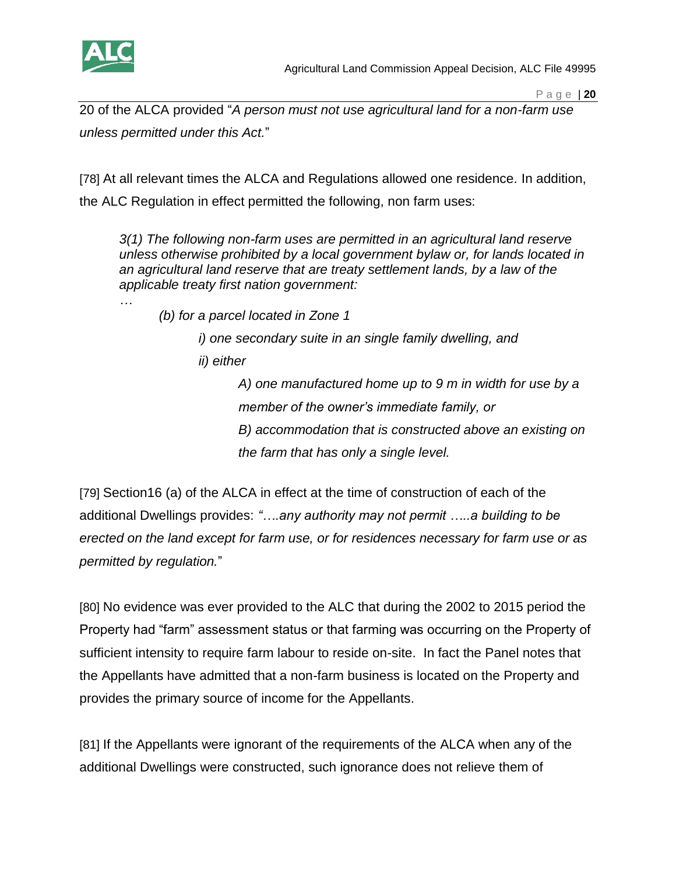

20 of the ALCA provided "*A person must not use agricultural land for a non-farm use unless permitted under this Act.*"

[78] At all relevant times the ALCA and Regulations allowed one residence. In addition, the ALC Regulation in effect permitted the following, non farm uses:

*3(1) The following non-farm uses are permitted in an agricultural land reserve unless otherwise prohibited by a local government bylaw or, for lands located in an agricultural land reserve that are treaty settlement lands, by a law of the applicable treaty first nation government:*

*…*

*(b) for a parcel located in Zone 1*

*i) one secondary suite in an single family dwelling, and ii) either* 

> *A) one manufactured home up to 9 m in width for use by a member of the owner's immediate family, or B) accommodation that is constructed above an existing on the farm that has only a single level.*

[79] Section16 (a) of the ALCA in effect at the time of construction of each of the additional Dwellings provides: *"….any authority may not permit …..a building to be erected on the land except for farm use, or for residences necessary for farm use or as permitted by regulation.*"

[80] No evidence was ever provided to the ALC that during the 2002 to 2015 period the Property had "farm" assessment status or that farming was occurring on the Property of sufficient intensity to require farm labour to reside on-site. In fact the Panel notes that the Appellants have admitted that a non-farm business is located on the Property and provides the primary source of income for the Appellants.

[81] If the Appellants were ignorant of the requirements of the ALCA when any of the additional Dwellings were constructed, such ignorance does not relieve them of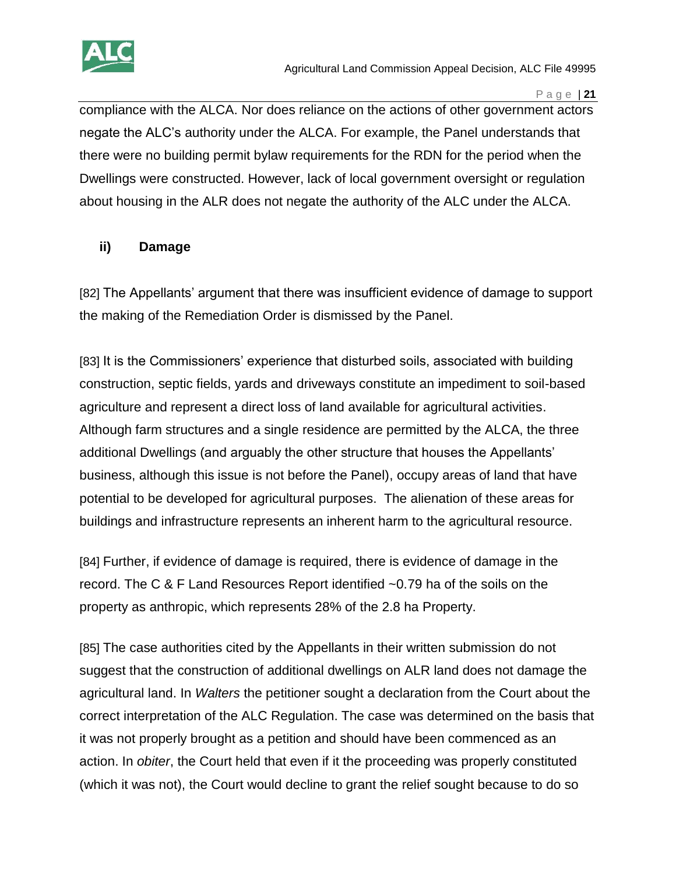

compliance with the ALCA. Nor does reliance on the actions of other government actors negate the ALC's authority under the ALCA. For example, the Panel understands that there were no building permit bylaw requirements for the RDN for the period when the Dwellings were constructed. However, lack of local government oversight or regulation about housing in the ALR does not negate the authority of the ALC under the ALCA.

#### **ii) Damage**

[82] The Appellants' argument that there was insufficient evidence of damage to support the making of the Remediation Order is dismissed by the Panel.

[83] It is the Commissioners' experience that disturbed soils, associated with building construction, septic fields, yards and driveways constitute an impediment to soil-based agriculture and represent a direct loss of land available for agricultural activities. Although farm structures and a single residence are permitted by the ALCA, the three additional Dwellings (and arguably the other structure that houses the Appellants' business, although this issue is not before the Panel), occupy areas of land that have potential to be developed for agricultural purposes. The alienation of these areas for buildings and infrastructure represents an inherent harm to the agricultural resource.

[84] Further, if evidence of damage is required, there is evidence of damage in the record. The C & F Land Resources Report identified ~0.79 ha of the soils on the property as anthropic, which represents 28% of the 2.8 ha Property.

[85] The case authorities cited by the Appellants in their written submission do not suggest that the construction of additional dwellings on ALR land does not damage the agricultural land. In *Walters* the petitioner sought a declaration from the Court about the correct interpretation of the ALC Regulation. The case was determined on the basis that it was not properly brought as a petition and should have been commenced as an action. In *obiter*, the Court held that even if it the proceeding was properly constituted (which it was not), the Court would decline to grant the relief sought because to do so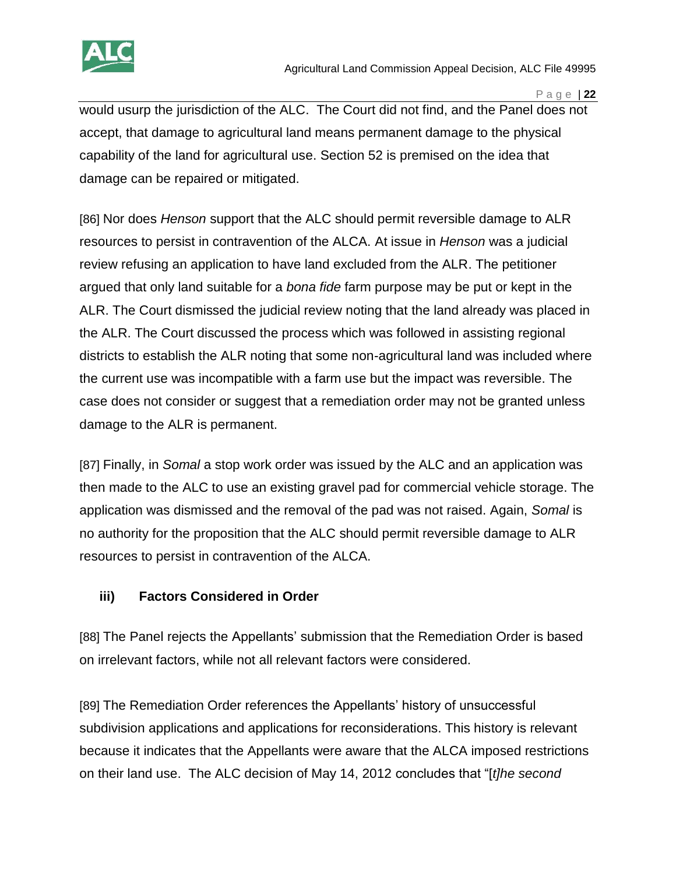

would usurp the jurisdiction of the ALC. The Court did not find, and the Panel does not accept, that damage to agricultural land means permanent damage to the physical capability of the land for agricultural use. Section 52 is premised on the idea that damage can be repaired or mitigated.

[86] Nor does *Henson* support that the ALC should permit reversible damage to ALR resources to persist in contravention of the ALCA. At issue in *Henson* was a judicial review refusing an application to have land excluded from the ALR. The petitioner argued that only land suitable for a *bona fide* farm purpose may be put or kept in the ALR. The Court dismissed the judicial review noting that the land already was placed in the ALR. The Court discussed the process which was followed in assisting regional districts to establish the ALR noting that some non-agricultural land was included where the current use was incompatible with a farm use but the impact was reversible. The case does not consider or suggest that a remediation order may not be granted unless damage to the ALR is permanent.

[87] Finally, in *Somal* a stop work order was issued by the ALC and an application was then made to the ALC to use an existing gravel pad for commercial vehicle storage. The application was dismissed and the removal of the pad was not raised. Again, *Somal* is no authority for the proposition that the ALC should permit reversible damage to ALR resources to persist in contravention of the ALCA.

# **iii) Factors Considered in Order**

[88] The Panel rejects the Appellants' submission that the Remediation Order is based on irrelevant factors, while not all relevant factors were considered.

[89] The Remediation Order references the Appellants' history of unsuccessful subdivision applications and applications for reconsiderations. This history is relevant because it indicates that the Appellants were aware that the ALCA imposed restrictions on their land use. The ALC decision of May 14, 2012 concludes that "[*t]he second*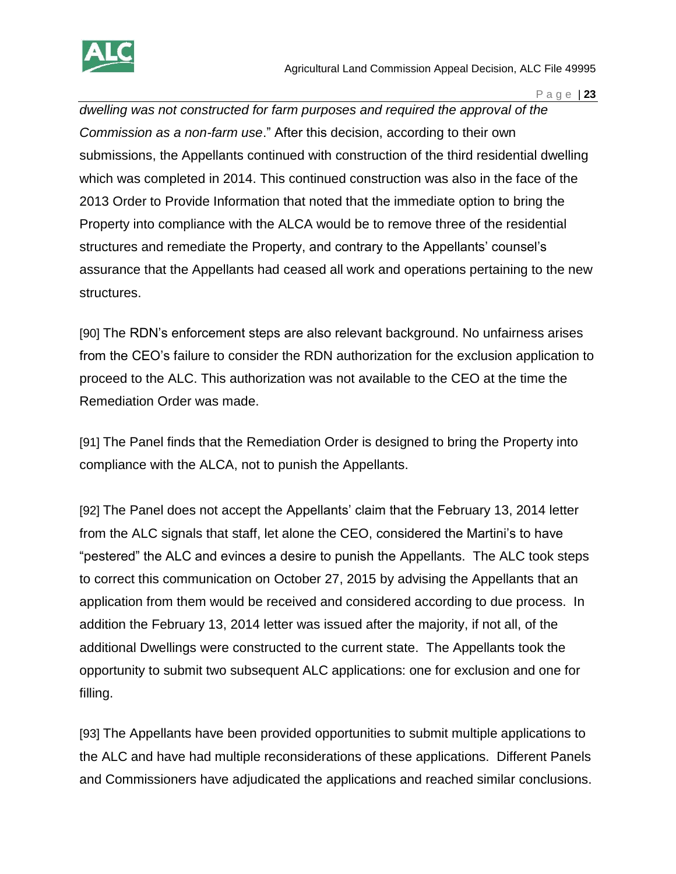

*dwelling was not constructed for farm purposes and required the approval of the Commission as a non-farm use*." After this decision, according to their own submissions, the Appellants continued with construction of the third residential dwelling which was completed in 2014. This continued construction was also in the face of the 2013 Order to Provide Information that noted that the immediate option to bring the Property into compliance with the ALCA would be to remove three of the residential structures and remediate the Property, and contrary to the Appellants' counsel's assurance that the Appellants had ceased all work and operations pertaining to the new structures.

[90] The RDN's enforcement steps are also relevant background. No unfairness arises from the CEO's failure to consider the RDN authorization for the exclusion application to proceed to the ALC. This authorization was not available to the CEO at the time the Remediation Order was made.

[91] The Panel finds that the Remediation Order is designed to bring the Property into compliance with the ALCA, not to punish the Appellants.

[92] The Panel does not accept the Appellants' claim that the February 13, 2014 letter from the ALC signals that staff, let alone the CEO, considered the Martini's to have "pestered" the ALC and evinces a desire to punish the Appellants. The ALC took steps to correct this communication on October 27, 2015 by advising the Appellants that an application from them would be received and considered according to due process. In addition the February 13, 2014 letter was issued after the majority, if not all, of the additional Dwellings were constructed to the current state. The Appellants took the opportunity to submit two subsequent ALC applications: one for exclusion and one for filling.

[93] The Appellants have been provided opportunities to submit multiple applications to the ALC and have had multiple reconsiderations of these applications. Different Panels and Commissioners have adjudicated the applications and reached similar conclusions.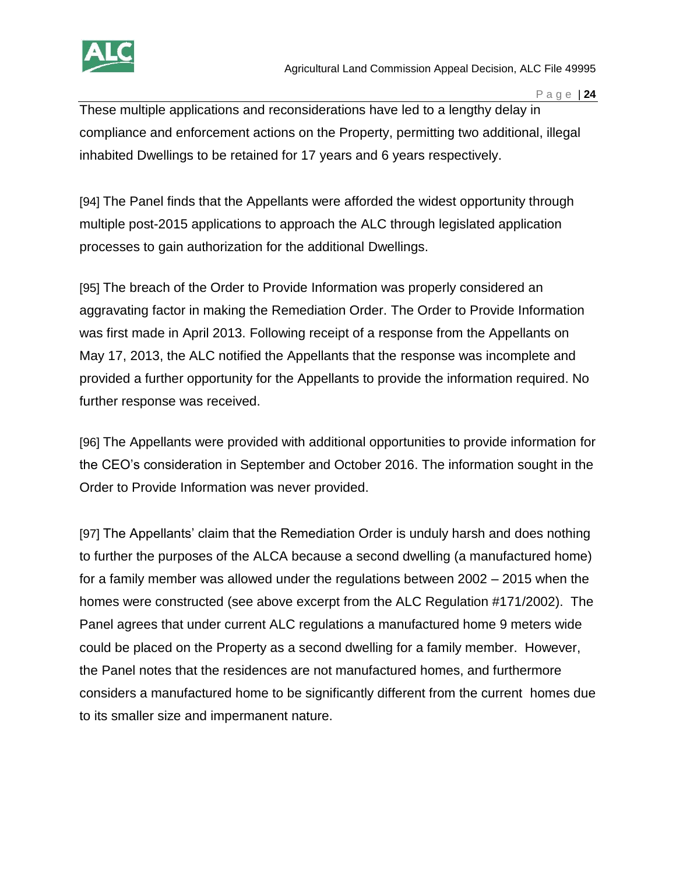

These multiple applications and reconsiderations have led to a lengthy delay in compliance and enforcement actions on the Property, permitting two additional, illegal inhabited Dwellings to be retained for 17 years and 6 years respectively.

[94] The Panel finds that the Appellants were afforded the widest opportunity through multiple post-2015 applications to approach the ALC through legislated application processes to gain authorization for the additional Dwellings.

[95] The breach of the Order to Provide Information was properly considered an aggravating factor in making the Remediation Order. The Order to Provide Information was first made in April 2013. Following receipt of a response from the Appellants on May 17, 2013, the ALC notified the Appellants that the response was incomplete and provided a further opportunity for the Appellants to provide the information required. No further response was received.

[96] The Appellants were provided with additional opportunities to provide information for the CEO's consideration in September and October 2016. The information sought in the Order to Provide Information was never provided.

[97] The Appellants' claim that the Remediation Order is unduly harsh and does nothing to further the purposes of the ALCA because a second dwelling (a manufactured home) for a family member was allowed under the regulations between 2002 – 2015 when the homes were constructed (see above excerpt from the ALC Regulation #171/2002). The Panel agrees that under current ALC regulations a manufactured home 9 meters wide could be placed on the Property as a second dwelling for a family member. However, the Panel notes that the residences are not manufactured homes, and furthermore considers a manufactured home to be significantly different from the current homes due to its smaller size and impermanent nature.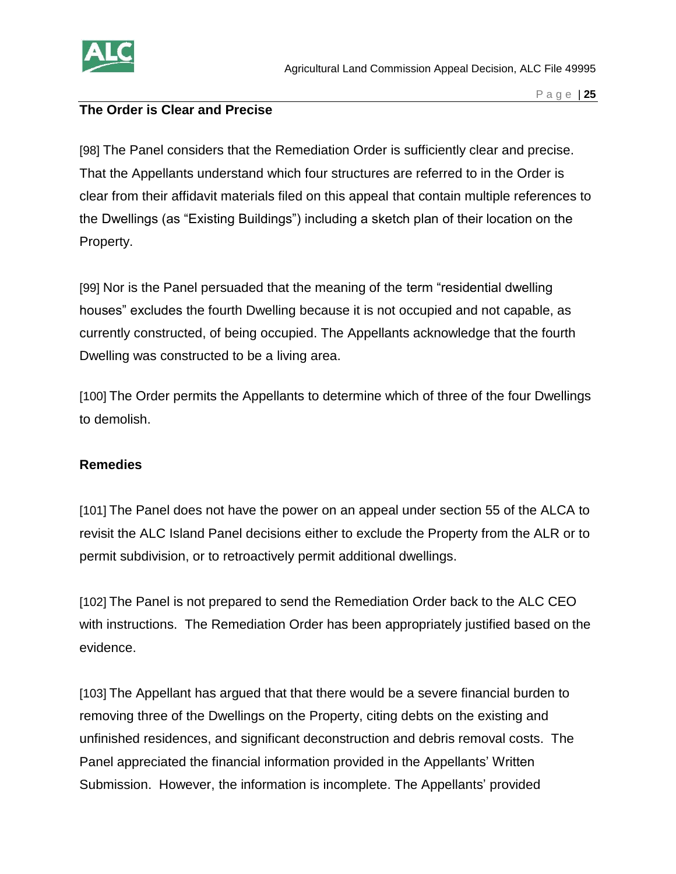

#### **The Order is Clear and Precise**

[98] The Panel considers that the Remediation Order is sufficiently clear and precise. That the Appellants understand which four structures are referred to in the Order is clear from their affidavit materials filed on this appeal that contain multiple references to the Dwellings (as "Existing Buildings") including a sketch plan of their location on the Property.

[99] Nor is the Panel persuaded that the meaning of the term "residential dwelling houses" excludes the fourth Dwelling because it is not occupied and not capable, as currently constructed, of being occupied. The Appellants acknowledge that the fourth Dwelling was constructed to be a living area.

[100] The Order permits the Appellants to determine which of three of the four Dwellings to demolish.

#### **Remedies**

[101] The Panel does not have the power on an appeal under section 55 of the ALCA to revisit the ALC Island Panel decisions either to exclude the Property from the ALR or to permit subdivision, or to retroactively permit additional dwellings.

[102] The Panel is not prepared to send the Remediation Order back to the ALC CEO with instructions. The Remediation Order has been appropriately justified based on the evidence.

[103] The Appellant has argued that that there would be a severe financial burden to removing three of the Dwellings on the Property, citing debts on the existing and unfinished residences, and significant deconstruction and debris removal costs. The Panel appreciated the financial information provided in the Appellants' Written Submission. However, the information is incomplete. The Appellants' provided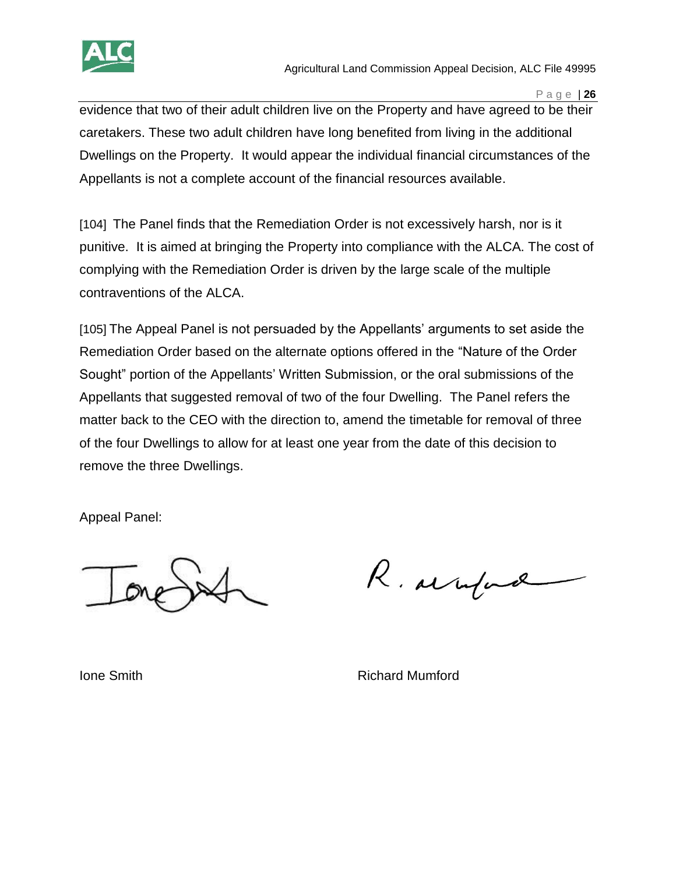

evidence that two of their adult children live on the Property and have agreed to be their caretakers. These two adult children have long benefited from living in the additional Dwellings on the Property. It would appear the individual financial circumstances of the Appellants is not a complete account of the financial resources available.

[104] The Panel finds that the Remediation Order is not excessively harsh, nor is it punitive. It is aimed at bringing the Property into compliance with the ALCA. The cost of complying with the Remediation Order is driven by the large scale of the multiple contraventions of the ALCA.

[105] The Appeal Panel is not persuaded by the Appellants' arguments to set aside the Remediation Order based on the alternate options offered in the "Nature of the Order Sought" portion of the Appellants' Written Submission, or the oral submissions of the Appellants that suggested removal of two of the four Dwelling. The Panel refers the matter back to the CEO with the direction to, amend the timetable for removal of three of the four Dwellings to allow for at least one year from the date of this decision to remove the three Dwellings.

Appeal Panel:

R. arrifind

**Ione Smith Richard Mumford**